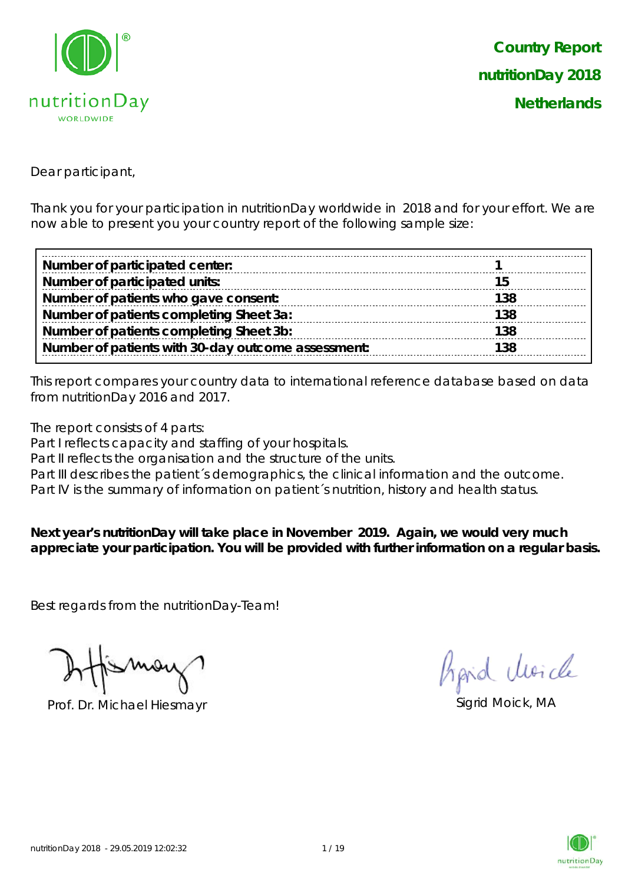

Dear participant,

Thank you for your participation in nutritionDay worldwide in 2018 and for your effort. We are now able to present you your country report of the following sample size:

| Number of participated center:                     |     |
|----------------------------------------------------|-----|
| Number of participated units:                      |     |
| Number of patients who gave consent:               | 138 |
| Number of patients completing Sheet 3a:            | 138 |
| Number of patients completing Sheet 3b:            | 138 |
| Number of patients with 30-day outcome assessment: | 138 |

This report compares your country data to international reference database based on data from nutritionDay 2016 and 2017.

The report consists of 4 parts:

Part I reflects capacity and staffing of your hospitals.

Part II reflects the organisation and the structure of the units.

Part III describes the patient's demographics, the clinical information and the outcome.

Part IV is the summary of information on patient's nutrition, history and health status.

**Next year's nutritionDay will take place in November 2019. Again, we would very much appreciate your participation. You will be provided with further information on a regular basis.**

Best regards from the nutritionDay-Team!

Prof. Dr. Michael Hiesmayr Sigrid Moick, MA

hard Moich

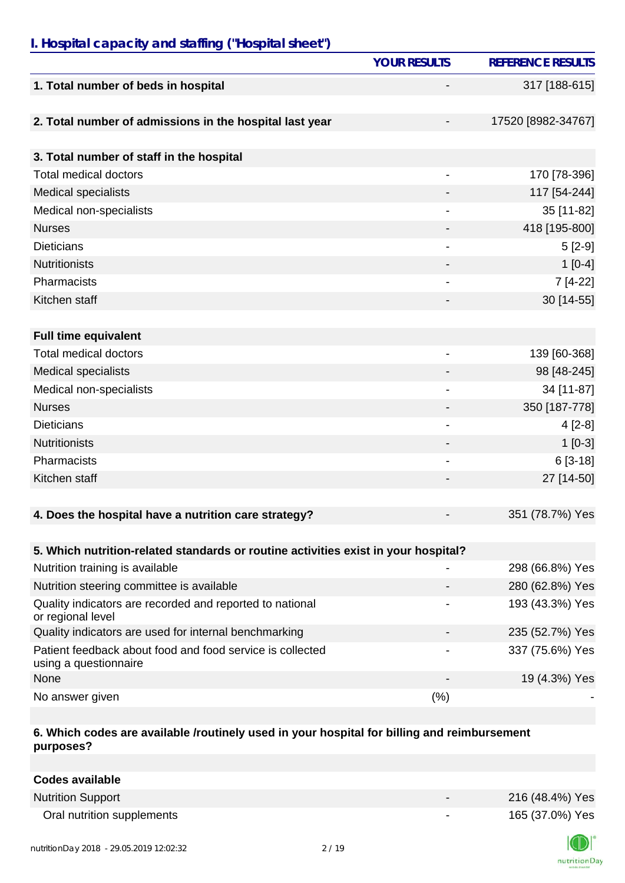## *I. Hospital capacity and staffing ("Hospital sheet")*

|                                                                                    | <b>YOUR RESULTS</b>          | <b>REFERENCE RESULTS</b> |
|------------------------------------------------------------------------------------|------------------------------|--------------------------|
| 1. Total number of beds in hospital                                                |                              | 317 [188-615]            |
| 2. Total number of admissions in the hospital last year                            |                              | 17520 [8982-34767]       |
| 3. Total number of staff in the hospital                                           |                              |                          |
| <b>Total medical doctors</b>                                                       | $\qquad \qquad \blacksquare$ | 170 [78-396]             |
| <b>Medical specialists</b>                                                         |                              | 117 [54-244]             |
| Medical non-specialists                                                            |                              | 35 [11-82]               |
| <b>Nurses</b>                                                                      |                              | 418 [195-800]            |
| <b>Dieticians</b>                                                                  |                              | $5[2-9]$                 |
| <b>Nutritionists</b>                                                               |                              | $1[0-4]$                 |
| Pharmacists                                                                        | $\overline{\phantom{a}}$     | 7 [4-22]                 |
| Kitchen staff                                                                      |                              | 30 [14-55]               |
|                                                                                    |                              |                          |
| <b>Full time equivalent</b>                                                        |                              |                          |
| <b>Total medical doctors</b>                                                       |                              | 139 [60-368]             |
|                                                                                    |                              |                          |
| <b>Medical specialists</b>                                                         |                              | 98 [48-245]              |
| Medical non-specialists                                                            | $\overline{\phantom{a}}$     | 34 [11-87]               |
| <b>Nurses</b>                                                                      |                              | 350 [187-778]            |
| <b>Dieticians</b>                                                                  |                              | $4[2-8]$                 |
| <b>Nutritionists</b>                                                               |                              | $1 [0-3]$                |
| Pharmacists                                                                        |                              | $6[3-18]$                |
| Kitchen staff                                                                      |                              | 27 [14-50]               |
|                                                                                    |                              |                          |
| 4. Does the hospital have a nutrition care strategy?                               |                              | 351 (78.7%) Yes          |
|                                                                                    |                              |                          |
| 5. Which nutrition-related standards or routine activities exist in your hospital? |                              |                          |
| Nutrition training is available                                                    |                              | 298 (66.8%) Yes          |
| Nutrition steering committee is available                                          |                              | 280 (62.8%) Yes          |
| Quality indicators are recorded and reported to national<br>or regional level      |                              | 193 (43.3%) Yes          |
| Quality indicators are used for internal benchmarking                              |                              | 235 (52.7%) Yes          |
| Patient feedback about food and food service is collected<br>using a questionnaire |                              | 337 (75.6%) Yes          |
| None                                                                               |                              | 19 (4.3%) Yes            |
| No answer given                                                                    | (%)                          |                          |

#### **6. Which codes are available /routinely used in your hospital for billing and reimbursement purposes?**

| Codes available            |                          |                 |
|----------------------------|--------------------------|-----------------|
| <b>Nutrition Support</b>   | $\overline{\phantom{0}}$ | 216 (48.4%) Yes |
| Oral nutrition supplements | $\overline{\phantom{a}}$ | 165 (37.0%) Yes |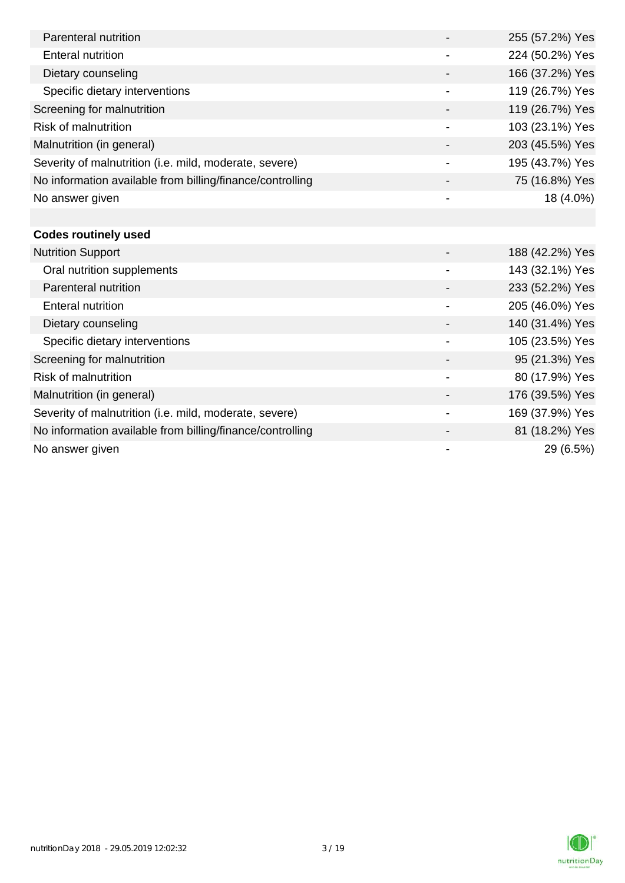| Parenteral nutrition                                      |                | 255 (57.2%) Yes |
|-----------------------------------------------------------|----------------|-----------------|
| Enteral nutrition                                         |                | 224 (50.2%) Yes |
| Dietary counseling                                        |                | 166 (37.2%) Yes |
| Specific dietary interventions                            | $\blacksquare$ | 119 (26.7%) Yes |
| Screening for malnutrition                                |                | 119 (26.7%) Yes |
| <b>Risk of malnutrition</b>                               |                | 103 (23.1%) Yes |
| Malnutrition (in general)                                 |                | 203 (45.5%) Yes |
| Severity of malnutrition (i.e. mild, moderate, severe)    |                | 195 (43.7%) Yes |
| No information available from billing/finance/controlling |                | 75 (16.8%) Yes  |
| No answer given                                           |                | 18 (4.0%)       |
|                                                           |                |                 |
| <b>Codes routinely used</b>                               |                |                 |
| <b>Nutrition Support</b>                                  |                | 188 (42.2%) Yes |
| Oral nutrition supplements                                |                | 143 (32.1%) Yes |
| Parenteral nutrition                                      |                | 233 (52.2%) Yes |
| Enteral nutrition                                         |                | 205 (46.0%) Yes |

Dietary counseling  $140 (31.4%)$  Yes Specific dietary interventions 105 (23.5%) Yes Screening for malnutrition 80 and 100 and 100 and 100 and 100 and 100 and 100 and 100 and 100 and 100 and 100 and 100 and 100 and 100 and 100 and 100 and 100 and 100 and 100 and 100 and 100 and 100 and 100 and 100 and 100 Risk of malnutrition and the set of malnutrition of the set of the set of the set of the set of the set of the set of the set of the set of the set of the set of the set of the set of the set of the set of the set of the s Malnutrition (in general) 176 (39.5%) Yes Severity of malnutrition (i.e. mild, moderate, severe) 169 (37.9%) Yes No information available from billing/finance/controlling and and the state of the 81 (18.2%) Yes No answer given  $29(6.5%)$ 

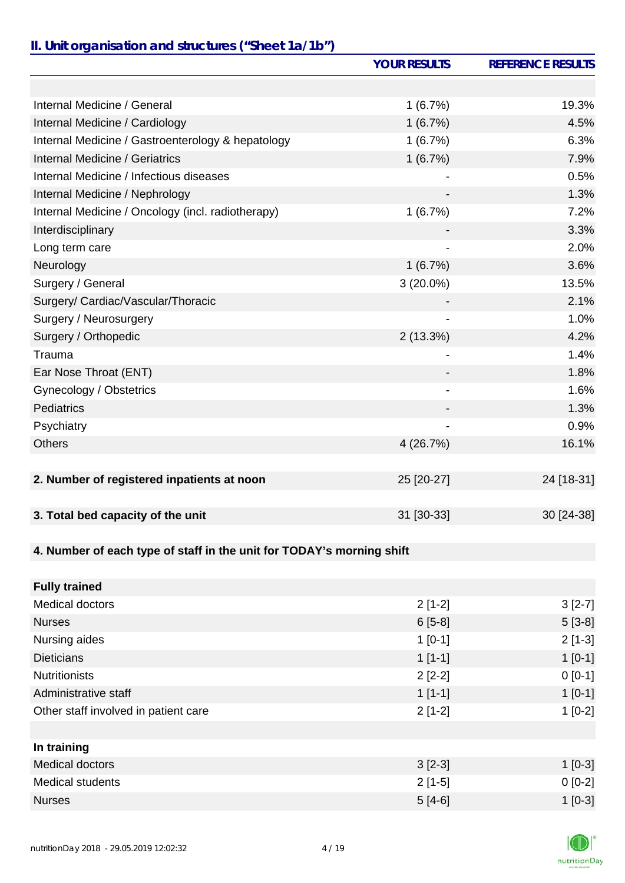# *II. Unit organisation and structures ("Sheet 1a/1b")*

|                                                                       | <b>YOUR RESULTS</b> | <b>REFERENCE RESULTS</b> |
|-----------------------------------------------------------------------|---------------------|--------------------------|
|                                                                       |                     |                          |
| Internal Medicine / General                                           | 1(6.7%)             | 19.3%                    |
| Internal Medicine / Cardiology                                        | 1(6.7%)             | 4.5%                     |
| Internal Medicine / Gastroenterology & hepatology                     | 1(6.7%)             | 6.3%                     |
| <b>Internal Medicine / Geriatrics</b>                                 | 1(6.7%)             | 7.9%                     |
| Internal Medicine / Infectious diseases                               |                     | 0.5%                     |
| Internal Medicine / Nephrology                                        |                     | 1.3%                     |
| Internal Medicine / Oncology (incl. radiotherapy)                     | 1(6.7%)             | 7.2%                     |
| Interdisciplinary                                                     |                     | 3.3%                     |
| Long term care                                                        |                     | 2.0%                     |
| Neurology                                                             | 1(6.7%)             | 3.6%                     |
| Surgery / General                                                     | $3(20.0\%)$         | 13.5%                    |
| Surgery/ Cardiac/Vascular/Thoracic                                    |                     | 2.1%                     |
| Surgery / Neurosurgery                                                |                     | 1.0%                     |
| Surgery / Orthopedic                                                  | 2(13.3%)            | 4.2%                     |
| Trauma                                                                |                     | 1.4%                     |
| Ear Nose Throat (ENT)                                                 |                     | 1.8%                     |
| Gynecology / Obstetrics                                               |                     | 1.6%                     |
| Pediatrics                                                            |                     | 1.3%                     |
| Psychiatry                                                            |                     | 0.9%                     |
| <b>Others</b>                                                         | 4 (26.7%)           | 16.1%                    |
|                                                                       |                     |                          |
| 2. Number of registered inpatients at noon                            | 25 [20-27]          | 24 [18-31]               |
|                                                                       |                     |                          |
| 3. Total bed capacity of the unit                                     | 31 [30-33]          | 30 [24-38]               |
|                                                                       |                     |                          |
| 4. Number of each type of staff in the unit for TODAY's morning shift |                     |                          |
|                                                                       |                     |                          |
| <b>Fully trained</b>                                                  |                     |                          |
| <b>Medical doctors</b>                                                | $2[1-2]$            | $3[2-7]$                 |
| <b>Nurses</b>                                                         | $6[5-8]$            | $5[3-8]$                 |
| Nursing aides                                                         | $1[0-1]$            | $2[1-3]$                 |
| <b>Dieticians</b>                                                     | $1[1-1]$            | $1[0-1]$                 |
| <b>Nutritionists</b>                                                  | $2[2-2]$            | $0 [0-1]$                |
| Administrative staff                                                  | $1[1-1]$            | $1[0-1]$                 |
| Other staff involved in patient care                                  | $2[1-2]$            | $1[0-2]$                 |
|                                                                       |                     |                          |
| In training                                                           |                     |                          |
| <b>Medical doctors</b>                                                | $3[2-3]$            | $1[0-3]$                 |
| <b>Medical students</b>                                               | $2[1-5]$            | $0[0-2]$                 |
| <b>Nurses</b>                                                         | $5[4-6]$            | $1[0-3]$                 |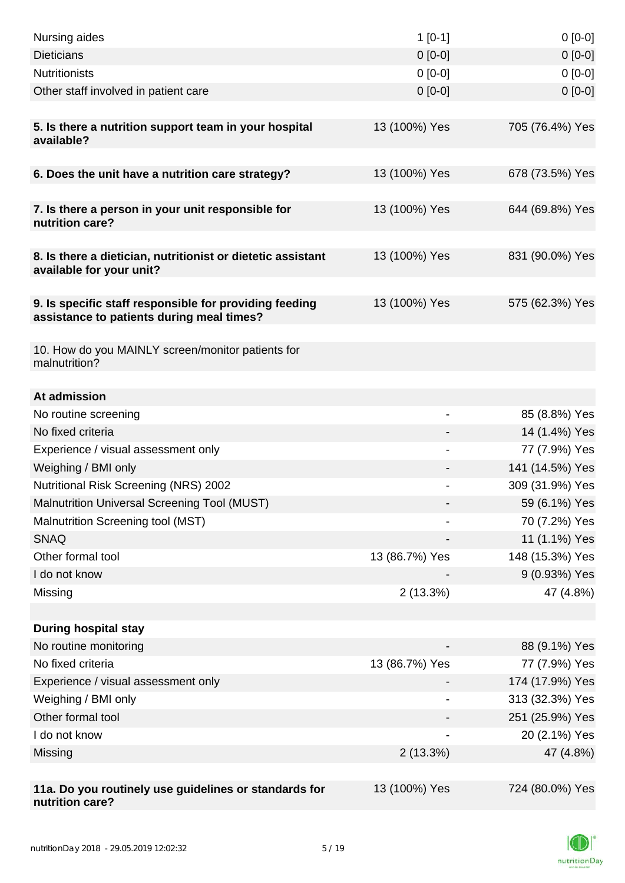| Nursing aides                                                                                       | $1[0-1]$       | $0[0-0]$                       |
|-----------------------------------------------------------------------------------------------------|----------------|--------------------------------|
| <b>Dieticians</b>                                                                                   | $0 [0-0]$      | $0[0-0]$                       |
| <b>Nutritionists</b>                                                                                | $0[0-0]$       | $0[0-0]$                       |
| Other staff involved in patient care                                                                | $0[0-0]$       | $0 [0-0]$                      |
|                                                                                                     |                |                                |
| 5. Is there a nutrition support team in your hospital<br>available?                                 | 13 (100%) Yes  | 705 (76.4%) Yes                |
| 6. Does the unit have a nutrition care strategy?                                                    | 13 (100%) Yes  | 678 (73.5%) Yes                |
|                                                                                                     |                |                                |
| 7. Is there a person in your unit responsible for<br>nutrition care?                                | 13 (100%) Yes  | 644 (69.8%) Yes                |
| 8. Is there a dietician, nutritionist or dietetic assistant<br>available for your unit?             | 13 (100%) Yes  | 831 (90.0%) Yes                |
| 9. Is specific staff responsible for providing feeding<br>assistance to patients during meal times? | 13 (100%) Yes  | 575 (62.3%) Yes                |
| 10. How do you MAINLY screen/monitor patients for<br>malnutrition?                                  |                |                                |
|                                                                                                     |                |                                |
| At admission                                                                                        |                |                                |
| No routine screening<br>No fixed criteria                                                           |                | 85 (8.8%) Yes<br>14 (1.4%) Yes |
| Experience / visual assessment only                                                                 |                | 77 (7.9%) Yes                  |
| Weighing / BMI only                                                                                 |                | 141 (14.5%) Yes                |
| <b>Nutritional Risk Screening (NRS) 2002</b>                                                        |                | 309 (31.9%) Yes                |
| Malnutrition Universal Screening Tool (MUST)                                                        |                | 59 (6.1%) Yes                  |
| Malnutrition Screening tool (MST)                                                                   |                | 70 (7.2%) Yes                  |
| <b>SNAQ</b>                                                                                         |                | 11 (1.1%) Yes                  |
| Other formal tool                                                                                   | 13 (86.7%) Yes | 148 (15.3%) Yes                |
| I do not know                                                                                       |                | 9 (0.93%) Yes                  |
| Missing                                                                                             | 2(13.3%)       | 47 (4.8%)                      |
|                                                                                                     |                |                                |
| <b>During hospital stay</b>                                                                         |                |                                |
| No routine monitoring                                                                               |                | 88 (9.1%) Yes                  |
| No fixed criteria                                                                                   | 13 (86.7%) Yes | 77 (7.9%) Yes                  |
| Experience / visual assessment only                                                                 |                | 174 (17.9%) Yes                |
| Weighing / BMI only                                                                                 |                | 313 (32.3%) Yes                |
| Other formal tool                                                                                   |                | 251 (25.9%) Yes                |
| I do not know                                                                                       |                | 20 (2.1%) Yes                  |
| Missing                                                                                             | 2(13.3%)       | 47 (4.8%)                      |
|                                                                                                     |                |                                |
| 11a. Do you routinely use guidelines or standards for<br>nutrition care?                            | 13 (100%) Yes  | 724 (80.0%) Yes                |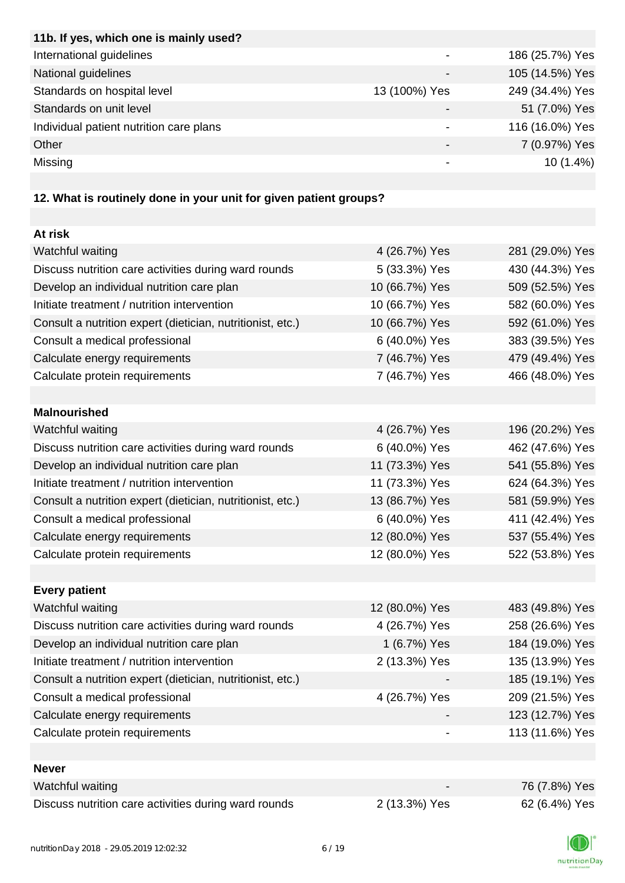| 11b. If yes, which one is mainly used?  |               |                 |
|-----------------------------------------|---------------|-----------------|
| International guidelines                |               | 186 (25.7%) Yes |
| National guidelines                     |               | 105 (14.5%) Yes |
| Standards on hospital level             | 13 (100%) Yes | 249 (34.4%) Yes |
| Standards on unit level                 |               | 51 (7.0%) Yes   |
| Individual patient nutrition care plans |               | 116 (16.0%) Yes |
| Other                                   |               | 7 (0.97%) Yes   |
| Missing                                 |               | $10(1.4\%)$     |
|                                         |               |                 |

# **12. What is routinely done in your unit for given patient groups?**

| At risk                                                    |                |                 |
|------------------------------------------------------------|----------------|-----------------|
| Watchful waiting                                           | 4 (26.7%) Yes  | 281 (29.0%) Yes |
| Discuss nutrition care activities during ward rounds       | 5 (33.3%) Yes  | 430 (44.3%) Yes |
| Develop an individual nutrition care plan                  | 10 (66.7%) Yes | 509 (52.5%) Yes |
| Initiate treatment / nutrition intervention                | 10 (66.7%) Yes | 582 (60.0%) Yes |
| Consult a nutrition expert (dietician, nutritionist, etc.) | 10 (66.7%) Yes | 592 (61.0%) Yes |
| Consult a medical professional                             | 6 (40.0%) Yes  | 383 (39.5%) Yes |
| Calculate energy requirements                              | 7 (46.7%) Yes  | 479 (49.4%) Yes |
| Calculate protein requirements                             | 7 (46.7%) Yes  | 466 (48.0%) Yes |
|                                                            |                |                 |
| <b>Malnourished</b>                                        |                |                 |
| Watchful waiting                                           | 4 (26.7%) Yes  | 196 (20.2%) Yes |
| Discuss nutrition care activities during ward rounds       | 6 (40.0%) Yes  | 462 (47.6%) Yes |
| Develop an individual nutrition care plan                  | 11 (73.3%) Yes | 541 (55.8%) Yes |
| Initiate treatment / nutrition intervention                | 11 (73.3%) Yes | 624 (64.3%) Yes |
| Consult a nutrition expert (dietician, nutritionist, etc.) | 13 (86.7%) Yes | 581 (59.9%) Yes |
| Consult a medical professional                             | 6 (40.0%) Yes  | 411 (42.4%) Yes |
| Calculate energy requirements                              | 12 (80.0%) Yes | 537 (55.4%) Yes |
| Calculate protein requirements                             | 12 (80.0%) Yes | 522 (53.8%) Yes |
|                                                            |                |                 |
| <b>Every patient</b>                                       |                |                 |
| Watchful waiting                                           | 12 (80.0%) Yes | 483 (49.8%) Yes |
| Discuss nutrition care activities during ward rounds       | 4 (26.7%) Yes  | 258 (26.6%) Yes |
| Develop an individual nutrition care plan                  | 1 (6.7%) Yes   | 184 (19.0%) Yes |
| Initiate treatment / nutrition intervention                | 2 (13.3%) Yes  | 135 (13.9%) Yes |
| Consult a nutrition expert (dietician, nutritionist, etc.) |                | 185 (19.1%) Yes |
| Consult a medical professional                             | 4 (26.7%) Yes  | 209 (21.5%) Yes |
| Calculate energy requirements                              |                | 123 (12.7%) Yes |
| Calculate protein requirements                             |                | 113 (11.6%) Yes |
|                                                            |                |                 |
| <b>Never</b>                                               |                |                 |
| Watchful waiting                                           |                | 76 (7.8%) Yes   |
| Discuss nutrition care activities during ward rounds       | 2 (13.3%) Yes  | 62 (6.4%) Yes   |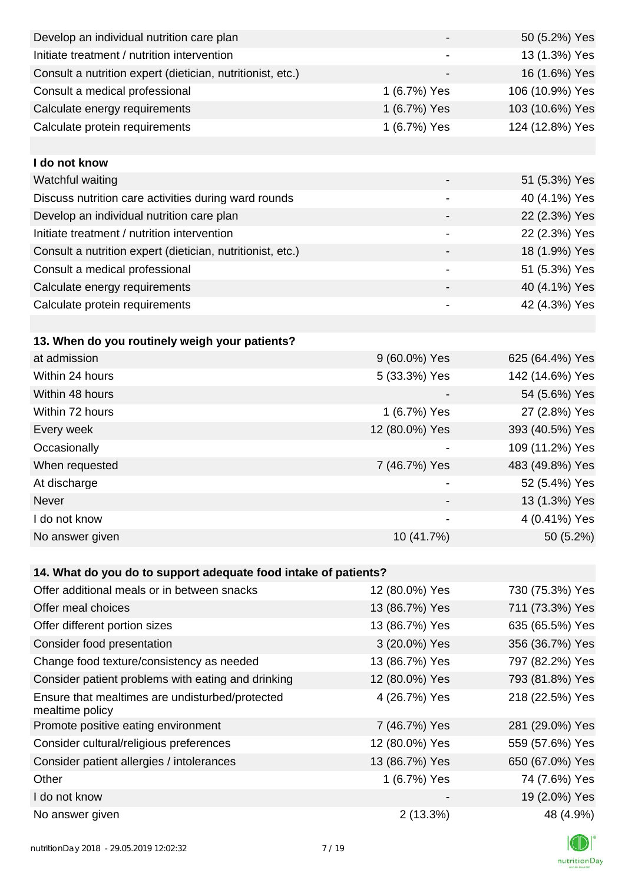| Develop an individual nutrition care plan                          |                              | 50 (5.2%) Yes   |
|--------------------------------------------------------------------|------------------------------|-----------------|
| Initiate treatment / nutrition intervention                        |                              | 13 (1.3%) Yes   |
| Consult a nutrition expert (dietician, nutritionist, etc.)         |                              | 16 (1.6%) Yes   |
| Consult a medical professional                                     | 1 (6.7%) Yes                 | 106 (10.9%) Yes |
| Calculate energy requirements                                      | 1 (6.7%) Yes                 | 103 (10.6%) Yes |
| Calculate protein requirements                                     | 1 (6.7%) Yes                 | 124 (12.8%) Yes |
|                                                                    |                              |                 |
| I do not know                                                      |                              |                 |
| Watchful waiting                                                   |                              | 51 (5.3%) Yes   |
| Discuss nutrition care activities during ward rounds               |                              | 40 (4.1%) Yes   |
| Develop an individual nutrition care plan                          |                              | 22 (2.3%) Yes   |
| Initiate treatment / nutrition intervention                        | $\overline{\phantom{a}}$     | 22 (2.3%) Yes   |
| Consult a nutrition expert (dietician, nutritionist, etc.)         |                              | 18 (1.9%) Yes   |
| Consult a medical professional                                     |                              | 51 (5.3%) Yes   |
| Calculate energy requirements                                      |                              | 40 (4.1%) Yes   |
| Calculate protein requirements                                     | $\qquad \qquad \blacksquare$ | 42 (4.3%) Yes   |
|                                                                    |                              |                 |
| 13. When do you routinely weigh your patients?                     |                              |                 |
| at admission                                                       | 9 (60.0%) Yes                | 625 (64.4%) Yes |
| Within 24 hours                                                    | 5 (33.3%) Yes                | 142 (14.6%) Yes |
| Within 48 hours                                                    |                              | 54 (5.6%) Yes   |
| Within 72 hours                                                    | 1 (6.7%) Yes                 | 27 (2.8%) Yes   |
| Every week                                                         | 12 (80.0%) Yes               | 393 (40.5%) Yes |
| Occasionally                                                       |                              | 109 (11.2%) Yes |
| When requested                                                     | 7 (46.7%) Yes                | 483 (49.8%) Yes |
| At discharge                                                       |                              | 52 (5.4%) Yes   |
| Never                                                              |                              | 13 (1.3%) Yes   |
| I do not know                                                      |                              | 4 (0.41%) Yes   |
| No answer given                                                    | 10 (41.7%)                   | 50 (5.2%)       |
|                                                                    |                              |                 |
| 14. What do you do to support adequate food intake of patients?    |                              |                 |
| Offer additional meals or in between snacks                        | 12 (80.0%) Yes               | 730 (75.3%) Yes |
| Offer meal choices                                                 | 13 (86.7%) Yes               | 711 (73.3%) Yes |
| Offer different portion sizes                                      | 13 (86.7%) Yes               | 635 (65.5%) Yes |
| Consider food presentation                                         | 3 (20.0%) Yes                | 356 (36.7%) Yes |
| Change food texture/consistency as needed                          | 13 (86.7%) Yes               | 797 (82.2%) Yes |
| Consider patient problems with eating and drinking                 | 12 (80.0%) Yes               | 793 (81.8%) Yes |
| Ensure that mealtimes are undisturbed/protected<br>mealtime policy | 4 (26.7%) Yes                | 218 (22.5%) Yes |
| Promote positive eating environment                                | 7 (46.7%) Yes                | 281 (29.0%) Yes |
| Consider cultural/religious preferences                            | 12 (80.0%) Yes               | 559 (57.6%) Yes |
| Consider patient allergies / intolerances                          | 13 (86.7%) Yes               | 650 (67.0%) Yes |
| Other                                                              | 1 (6.7%) Yes                 | 74 (7.6%) Yes   |
| I do not know                                                      |                              | 19 (2.0%) Yes   |
| No answer given                                                    | 2(13.3%)                     | 48 (4.9%)       |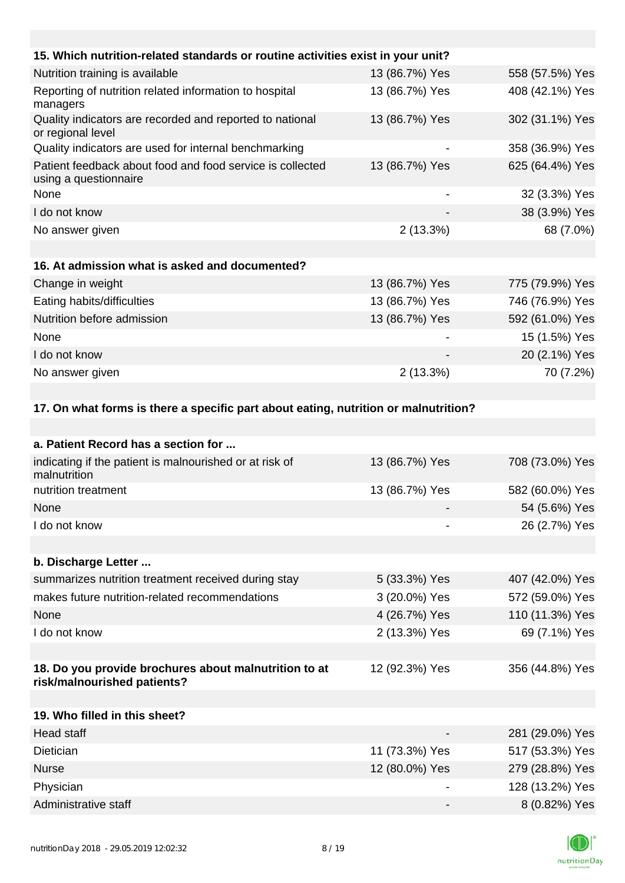| 15. Which nutrition-related standards or routine activities exist in your unit?      |                          |                 |
|--------------------------------------------------------------------------------------|--------------------------|-----------------|
| Nutrition training is available                                                      | 13 (86.7%) Yes           | 558 (57.5%) Yes |
| Reporting of nutrition related information to hospital<br>managers                   | 13 (86.7%) Yes           | 408 (42.1%) Yes |
| Quality indicators are recorded and reported to national<br>or regional level        | 13 (86.7%) Yes           | 302 (31.1%) Yes |
| Quality indicators are used for internal benchmarking                                |                          | 358 (36.9%) Yes |
| Patient feedback about food and food service is collected<br>using a questionnaire   | 13 (86.7%) Yes           | 625 (64.4%) Yes |
| None                                                                                 | $\overline{\phantom{a}}$ | 32 (3.3%) Yes   |
| I do not know                                                                        |                          | 38 (3.9%) Yes   |
| No answer given                                                                      | 2(13.3%)                 | 68 (7.0%)       |
|                                                                                      |                          |                 |
| 16. At admission what is asked and documented?                                       |                          |                 |
| Change in weight                                                                     | 13 (86.7%) Yes           | 775 (79.9%) Yes |
| Eating habits/difficulties                                                           | 13 (86.7%) Yes           | 746 (76.9%) Yes |
| Nutrition before admission                                                           | 13 (86.7%) Yes           | 592 (61.0%) Yes |
| None                                                                                 |                          | 15 (1.5%) Yes   |
| I do not know                                                                        |                          | 20 (2.1%) Yes   |
| No answer given                                                                      | 2(13.3%)                 | 70 (7.2%)       |
|                                                                                      |                          |                 |
| 17. On what forms is there a specific part about eating, nutrition or malnutrition?  |                          |                 |
|                                                                                      |                          |                 |
| a. Patient Record has a section for                                                  |                          |                 |
| indicating if the patient is malnourished or at risk of<br>malnutrition              | 13 (86.7%) Yes           | 708 (73.0%) Yes |
| nutrition treatment                                                                  | 13 (86.7%) Yes           | 582 (60.0%) Yes |
| None                                                                                 |                          | 54 (5.6%) Yes   |
| I do not know                                                                        |                          | 26 (2.7%) Yes   |
|                                                                                      |                          |                 |
| b. Discharge Letter                                                                  |                          |                 |
| summarizes nutrition treatment received during stay                                  | 5 (33.3%) Yes            | 407 (42.0%) Yes |
| makes future nutrition-related recommendations                                       | 3 (20.0%) Yes            | 572 (59.0%) Yes |
| None                                                                                 | 4 (26.7%) Yes            | 110 (11.3%) Yes |
| I do not know                                                                        | 2 (13.3%) Yes            | 69 (7.1%) Yes   |
|                                                                                      |                          |                 |
| 18. Do you provide brochures about malnutrition to at<br>risk/malnourished patients? | 12 (92.3%) Yes           | 356 (44.8%) Yes |
| 19. Who filled in this sheet?                                                        |                          |                 |
| <b>Head staff</b>                                                                    |                          | 281 (29.0%) Yes |
| <b>Dietician</b>                                                                     | 11 (73.3%) Yes           | 517 (53.3%) Yes |
| <b>Nurse</b>                                                                         | 12 (80.0%) Yes           | 279 (28.8%) Yes |
| Physician                                                                            |                          | 128 (13.2%) Yes |

Administrative staff  $\overline{8}$  (0.82%) Yes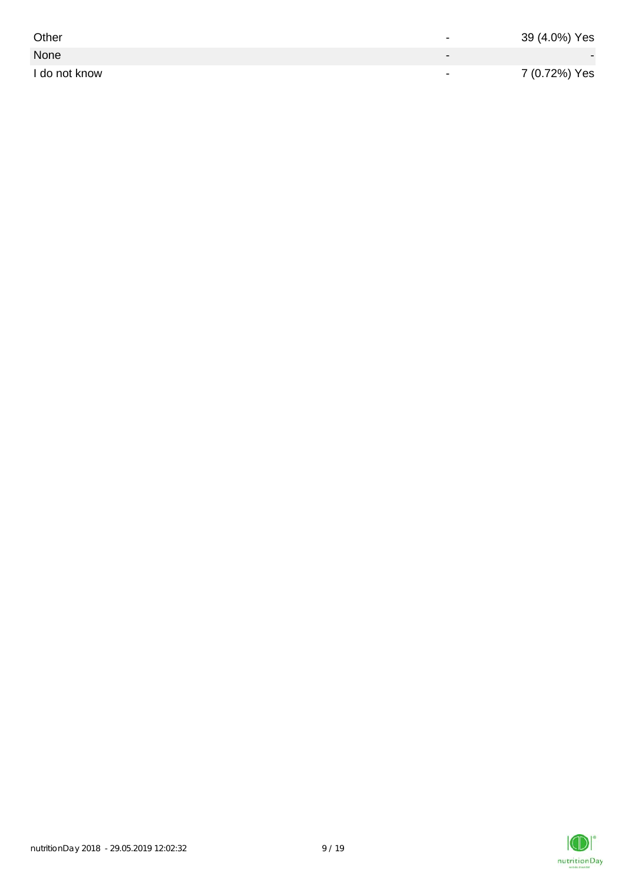| Other         | $\overline{\phantom{0}}$ | 39 (4.0%) Yes |
|---------------|--------------------------|---------------|
| None          |                          |               |
| I do not know | $\,$                     | 7 (0.72%) Yes |

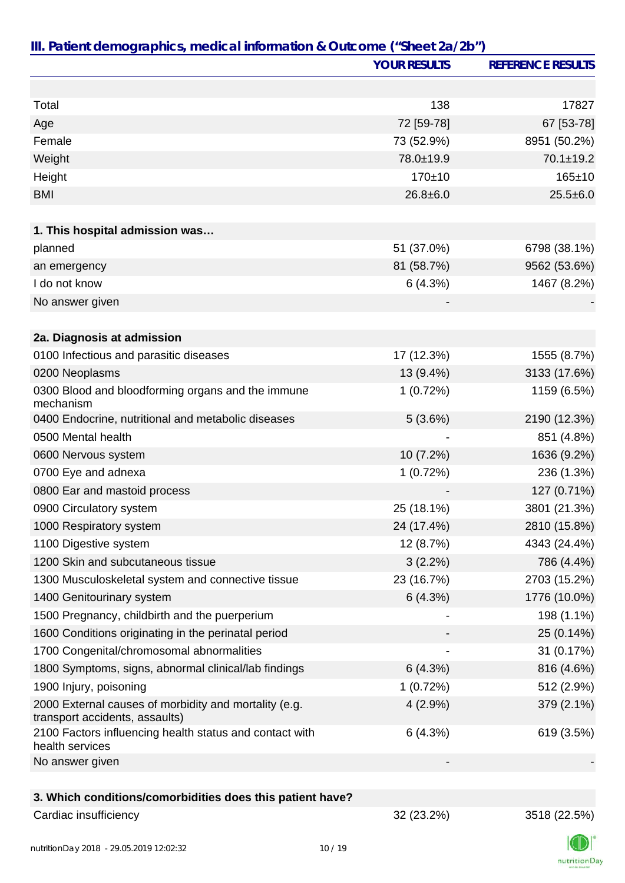|                                                                                         | <b>YOUR RESULTS</b> | <b>REFERENCE RESULTS</b> |
|-----------------------------------------------------------------------------------------|---------------------|--------------------------|
|                                                                                         |                     |                          |
| Total                                                                                   | 138                 | 17827                    |
| Age                                                                                     | 72 [59-78]          | 67 [53-78]               |
| Female                                                                                  | 73 (52.9%)          | 8951 (50.2%)             |
| Weight                                                                                  | 78.0±19.9           | $70.1 \pm 19.2$          |
| Height                                                                                  | $170 + 10$          | $165 + 10$               |
| <b>BMI</b>                                                                              | $26.8 + 6.0$        | $25.5 \pm 6.0$           |
|                                                                                         |                     |                          |
| 1. This hospital admission was                                                          |                     |                          |
| planned                                                                                 | 51 (37.0%)          | 6798 (38.1%)             |
| an emergency                                                                            | 81 (58.7%)          | 9562 (53.6%)             |
| I do not know                                                                           | 6(4.3%)             | 1467 (8.2%)              |
| No answer given                                                                         |                     |                          |
|                                                                                         |                     |                          |
| 2a. Diagnosis at admission                                                              |                     |                          |
| 0100 Infectious and parasitic diseases                                                  | 17 (12.3%)          | 1555 (8.7%)              |
| 0200 Neoplasms                                                                          | 13 (9.4%)           | 3133 (17.6%)             |
| 0300 Blood and bloodforming organs and the immune<br>mechanism                          | 1(0.72%)            | 1159 (6.5%)              |
| 0400 Endocrine, nutritional and metabolic diseases                                      | 5(3.6%)             | 2190 (12.3%)             |
| 0500 Mental health                                                                      |                     | 851 (4.8%)               |
| 0600 Nervous system                                                                     | 10 (7.2%)           | 1636 (9.2%)              |
| 0700 Eye and adnexa                                                                     | 1(0.72%)            | 236 (1.3%)               |
| 0800 Ear and mastoid process                                                            |                     | 127 (0.71%)              |
| 0900 Circulatory system                                                                 | 25 (18.1%)          | 3801 (21.3%)             |
| 1000 Respiratory system                                                                 | 24 (17.4%)          | 2810 (15.8%)             |
| 1100 Digestive system                                                                   | 12 (8.7%)           | 4343 (24.4%)             |
| 1200 Skin and subcutaneous tissue                                                       | 3(2.2%)             | 786 (4.4%)               |
| 1300 Musculoskeletal system and connective tissue                                       | 23 (16.7%)          | 2703 (15.2%)             |
| 1400 Genitourinary system                                                               | 6(4.3%)             | 1776 (10.0%)             |
| 1500 Pregnancy, childbirth and the puerperium                                           |                     | 198 (1.1%)               |
| 1600 Conditions originating in the perinatal period                                     |                     | 25 (0.14%)               |
| 1700 Congenital/chromosomal abnormalities                                               |                     | 31 (0.17%)               |
| 1800 Symptoms, signs, abnormal clinical/lab findings                                    | 6(4.3%)             | 816 (4.6%)               |
| 1900 Injury, poisoning                                                                  | 1(0.72%)            | 512 (2.9%)               |
| 2000 External causes of morbidity and mortality (e.g.<br>transport accidents, assaults) | $4(2.9\%)$          | 379 (2.1%)               |
| 2100 Factors influencing health status and contact with<br>health services              | 6(4.3%)             | 619 (3.5%)               |
| No answer given                                                                         |                     |                          |
|                                                                                         |                     |                          |
| 3. Which conditions/comorbidities does this patient have?                               |                     |                          |
| Cardiac insufficiency                                                                   | 32 (23.2%)          | 3518 (22.5%)             |

nutritionDay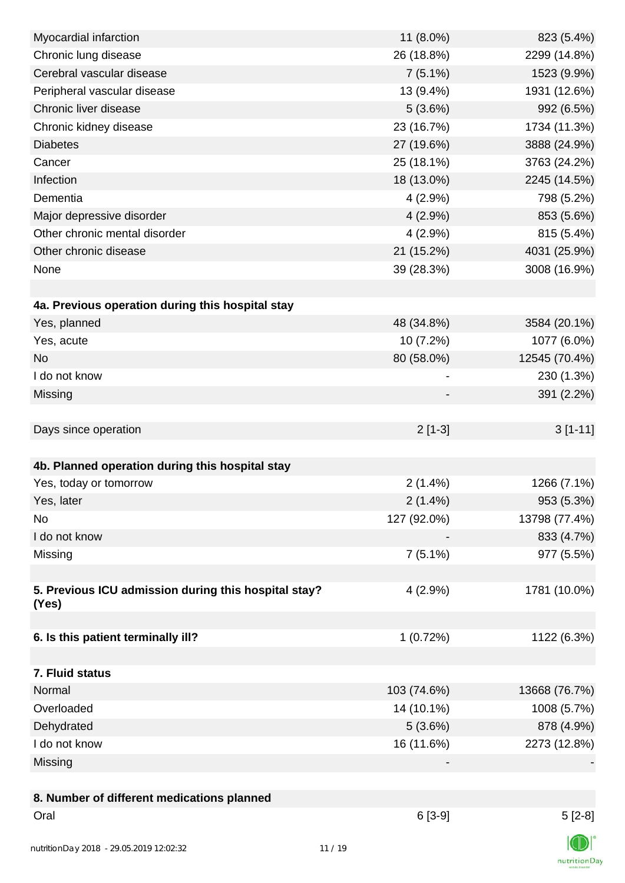| Myocardial infarction                                         | 11 (8.0%)   | 823 (5.4%)    |
|---------------------------------------------------------------|-------------|---------------|
| Chronic lung disease                                          | 26 (18.8%)  | 2299 (14.8%)  |
| Cerebral vascular disease                                     | $7(5.1\%)$  | 1523 (9.9%)   |
| Peripheral vascular disease                                   | 13 (9.4%)   | 1931 (12.6%)  |
| Chronic liver disease                                         | 5(3.6%)     | 992 (6.5%)    |
| Chronic kidney disease                                        | 23 (16.7%)  | 1734 (11.3%)  |
| <b>Diabetes</b>                                               | 27 (19.6%)  | 3888 (24.9%)  |
| Cancer                                                        | 25 (18.1%)  | 3763 (24.2%)  |
| Infection                                                     | 18 (13.0%)  | 2245 (14.5%)  |
| Dementia                                                      | $4(2.9\%)$  | 798 (5.2%)    |
| Major depressive disorder                                     | $4(2.9\%)$  | 853 (5.6%)    |
| Other chronic mental disorder                                 | $4(2.9\%)$  | 815 (5.4%)    |
| Other chronic disease                                         | 21 (15.2%)  | 4031 (25.9%)  |
| None                                                          | 39 (28.3%)  | 3008 (16.9%)  |
|                                                               |             |               |
| 4a. Previous operation during this hospital stay              |             |               |
| Yes, planned                                                  | 48 (34.8%)  | 3584 (20.1%)  |
| Yes, acute                                                    | 10 (7.2%)   | 1077 (6.0%)   |
| <b>No</b>                                                     | 80 (58.0%)  | 12545 (70.4%) |
| I do not know                                                 |             | 230 (1.3%)    |
| Missing                                                       |             | 391 (2.2%)    |
|                                                               |             |               |
| Days since operation                                          | $2[1-3]$    | $3[1-11]$     |
|                                                               |             |               |
| 4b. Planned operation during this hospital stay               |             |               |
| Yes, today or tomorrow                                        | $2(1.4\%)$  | 1266 (7.1%)   |
| Yes, later                                                    | $2(1.4\%)$  | 953 (5.3%)    |
| No                                                            | 127 (92.0%) | 13798 (77.4%) |
| I do not know                                                 |             | 833 (4.7%)    |
| Missing                                                       | $7(5.1\%)$  | 977 (5.5%)    |
|                                                               |             |               |
| 5. Previous ICU admission during this hospital stay?<br>(Yes) | $4(2.9\%)$  | 1781 (10.0%)  |
|                                                               |             |               |
| 6. Is this patient terminally ill?                            | 1(0.72%)    | 1122 (6.3%)   |
|                                                               |             |               |
| 7. Fluid status                                               |             |               |
| Normal                                                        | 103 (74.6%) | 13668 (76.7%) |
| Overloaded                                                    | 14 (10.1%)  | 1008 (5.7%)   |
| Dehydrated                                                    | 5(3.6%)     | 878 (4.9%)    |
| I do not know                                                 | 16 (11.6%)  | 2273 (12.8%)  |
| Missing                                                       |             |               |
|                                                               |             |               |
| 8. Number of different medications planned                    |             |               |
| Oral                                                          | $6[3-9]$    | $5[2-8]$      |
|                                                               |             | $\sqrt{2}$    |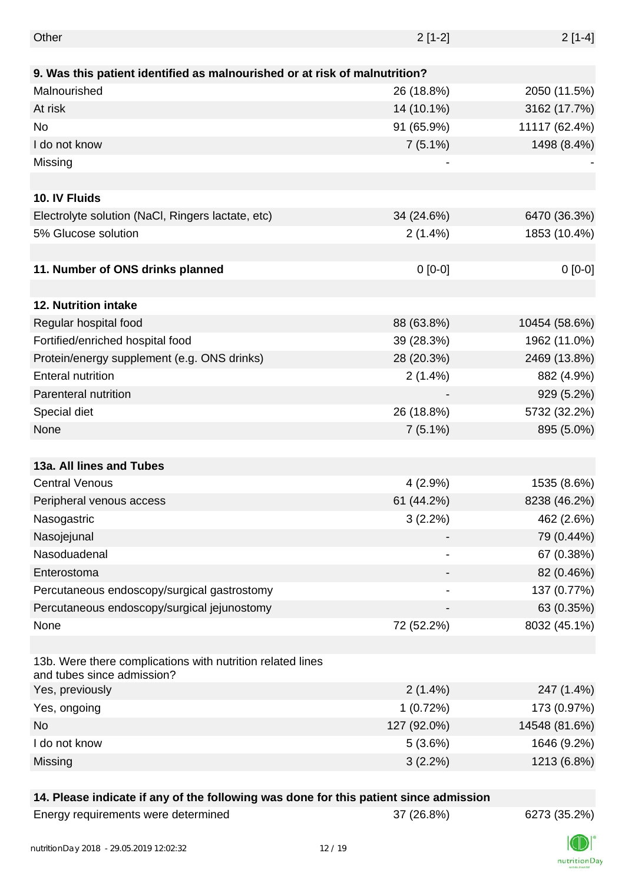| Other                                                                                      | $2[1-2]$    | $2[1-4]$      |
|--------------------------------------------------------------------------------------------|-------------|---------------|
|                                                                                            |             |               |
| 9. Was this patient identified as malnourished or at risk of malnutrition?<br>Malnourished |             |               |
|                                                                                            | 26 (18.8%)  | 2050 (11.5%)  |
| At risk                                                                                    | 14 (10.1%)  | 3162 (17.7%)  |
| No                                                                                         | 91 (65.9%)  | 11117 (62.4%) |
| I do not know                                                                              | $7(5.1\%)$  | 1498 (8.4%)   |
| Missing                                                                                    | -           |               |
|                                                                                            |             |               |
| 10. IV Fluids                                                                              |             |               |
| Electrolyte solution (NaCl, Ringers lactate, etc)                                          | 34 (24.6%)  | 6470 (36.3%)  |
| 5% Glucose solution                                                                        | 2(1.4%)     | 1853 (10.4%)  |
|                                                                                            |             |               |
| 11. Number of ONS drinks planned                                                           | $0[0-0]$    | $0[0-0]$      |
|                                                                                            |             |               |
| <b>12. Nutrition intake</b>                                                                |             |               |
| Regular hospital food                                                                      | 88 (63.8%)  | 10454 (58.6%) |
| Fortified/enriched hospital food                                                           | 39 (28.3%)  | 1962 (11.0%)  |
| Protein/energy supplement (e.g. ONS drinks)                                                | 28 (20.3%)  | 2469 (13.8%)  |
| <b>Enteral nutrition</b>                                                                   | 2(1.4%)     | 882 (4.9%)    |
| Parenteral nutrition                                                                       |             | 929 (5.2%)    |
| Special diet                                                                               | 26 (18.8%)  | 5732 (32.2%)  |
| None                                                                                       | $7(5.1\%)$  | 895 (5.0%)    |
|                                                                                            |             |               |
| 13a. All lines and Tubes                                                                   |             |               |
| <b>Central Venous</b>                                                                      | $4(2.9\%)$  | 1535 (8.6%)   |
| Peripheral venous access                                                                   | 61 (44.2%)  | 8238 (46.2%)  |
| Nasogastric                                                                                | 3(2.2%)     | 462 (2.6%)    |
| Nasojejunal                                                                                |             | 79 (0.44%)    |
| Nasoduadenal                                                                               |             | 67 (0.38%)    |
| Enterostoma                                                                                |             | 82 (0.46%)    |
| Percutaneous endoscopy/surgical gastrostomy                                                |             | 137 (0.77%)   |
| Percutaneous endoscopy/surgical jejunostomy                                                |             | 63 (0.35%)    |
| None                                                                                       | 72 (52.2%)  | 8032 (45.1%)  |
|                                                                                            |             |               |
| 13b. Were there complications with nutrition related lines<br>and tubes since admission?   |             |               |
| Yes, previously                                                                            | $2(1.4\%)$  | 247 (1.4%)    |
| Yes, ongoing                                                                               | 1(0.72%)    | 173 (0.97%)   |
| No                                                                                         | 127 (92.0%) | 14548 (81.6%) |
| I do not know                                                                              | 5(3.6%)     | 1646 (9.2%)   |
| Missing                                                                                    | $3(2.2\%)$  | 1213 (6.8%)   |
|                                                                                            |             |               |

### **14. Please indicate if any of the following was done for this patient since admission**

| Energy requirements were determined |
|-------------------------------------|
|-------------------------------------|

Energy requirements were determined 37 (26.8%) 6273 (35.2%)

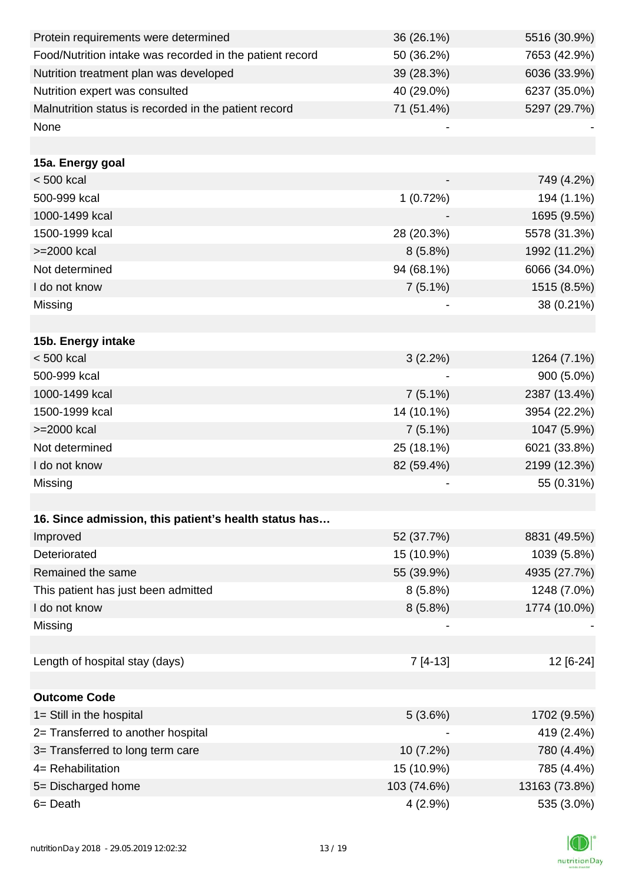| Protein requirements were determined                     | 36 (26.1%)  | 5516 (30.9%)  |
|----------------------------------------------------------|-------------|---------------|
| Food/Nutrition intake was recorded in the patient record | 50 (36.2%)  | 7653 (42.9%)  |
| Nutrition treatment plan was developed                   | 39 (28.3%)  | 6036 (33.9%)  |
| Nutrition expert was consulted                           | 40 (29.0%)  | 6237 (35.0%)  |
| Malnutrition status is recorded in the patient record    | 71 (51.4%)  | 5297 (29.7%)  |
| None                                                     |             |               |
|                                                          |             |               |
| 15a. Energy goal                                         |             |               |
| $< 500$ kcal                                             |             | 749 (4.2%)    |
| 500-999 kcal                                             | 1(0.72%)    | 194 (1.1%)    |
| 1000-1499 kcal                                           |             | 1695 (9.5%)   |
| 1500-1999 kcal                                           | 28 (20.3%)  | 5578 (31.3%)  |
| >=2000 kcal                                              | 8(5.8%)     | 1992 (11.2%)  |
| Not determined                                           | 94 (68.1%)  | 6066 (34.0%)  |
| I do not know                                            | $7(5.1\%)$  | 1515 (8.5%)   |
| Missing                                                  |             | 38 (0.21%)    |
|                                                          |             |               |
| 15b. Energy intake                                       |             |               |
| < 500 kcal                                               | 3(2.2%)     | 1264 (7.1%)   |
| 500-999 kcal                                             |             | 900 (5.0%)    |
| 1000-1499 kcal                                           | $7(5.1\%)$  | 2387 (13.4%)  |
| 1500-1999 kcal                                           | 14 (10.1%)  | 3954 (22.2%)  |
| >=2000 kcal                                              | $7(5.1\%)$  | 1047 (5.9%)   |
| Not determined                                           | 25 (18.1%)  | 6021 (33.8%)  |
| I do not know                                            | 82 (59.4%)  | 2199 (12.3%)  |
| Missing                                                  |             | 55 (0.31%)    |
|                                                          |             |               |
| 16. Since admission, this patient's health status has    |             |               |
| Improved                                                 | 52 (37.7%)  | 8831 (49.5%)  |
| Deteriorated                                             | 15 (10.9%)  | 1039 (5.8%)   |
| Remained the same                                        | 55 (39.9%)  | 4935 (27.7%)  |
| This patient has just been admitted                      | $8(5.8\%)$  | 1248 (7.0%)   |
| I do not know                                            | $8(5.8\%)$  | 1774 (10.0%)  |
| Missing                                                  |             |               |
|                                                          |             |               |
| Length of hospital stay (days)                           | $7[4-13]$   | 12 [6-24]     |
|                                                          |             |               |
| <b>Outcome Code</b>                                      |             |               |
| 1= Still in the hospital                                 | 5(3.6%)     | 1702 (9.5%)   |
| 2= Transferred to another hospital                       |             | 419 (2.4%)    |
| 3= Transferred to long term care                         | $10(7.2\%)$ | 780 (4.4%)    |
| 4= Rehabilitation                                        | 15 (10.9%)  | 785 (4.4%)    |
| 5= Discharged home                                       | 103 (74.6%) | 13163 (73.8%) |
| 6= Death                                                 | 4(2.9%)     | 535 (3.0%)    |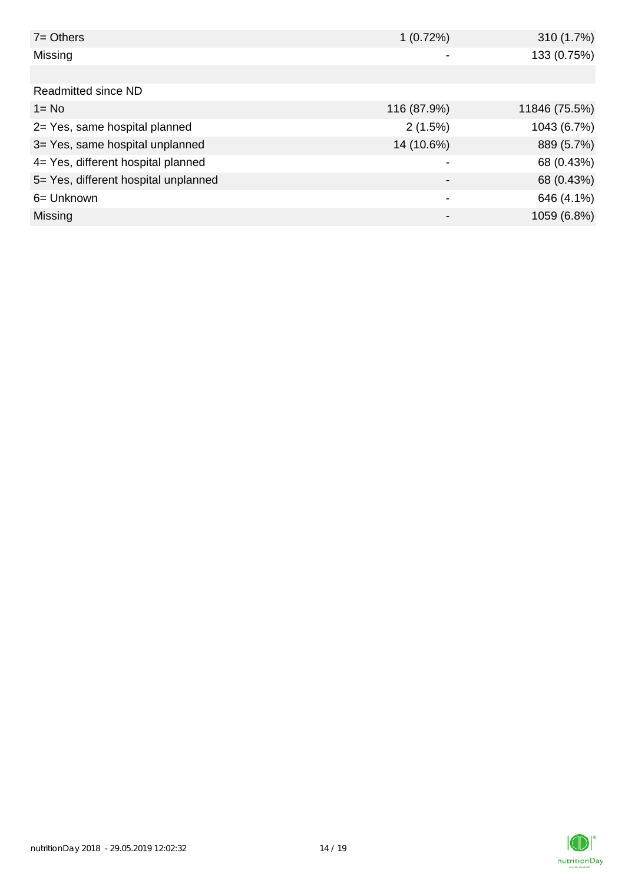| $7 = Others$                         | 1(0.72%)    | 310 (1.7%)    |
|--------------------------------------|-------------|---------------|
| Missing                              |             | 133 (0.75%)   |
|                                      |             |               |
| Readmitted since ND                  |             |               |
| $1 = No$                             | 116 (87.9%) | 11846 (75.5%) |
| 2= Yes, same hospital planned        | 2(1.5%)     | 1043 (6.7%)   |
| 3= Yes, same hospital unplanned      | 14 (10.6%)  | 889 (5.7%)    |
| 4= Yes, different hospital planned   |             | 68 (0.43%)    |
| 5= Yes, different hospital unplanned |             | 68 (0.43%)    |
| 6= Unknown                           | ٠           | 646 (4.1%)    |
| Missing                              |             | 1059 (6.8%)   |

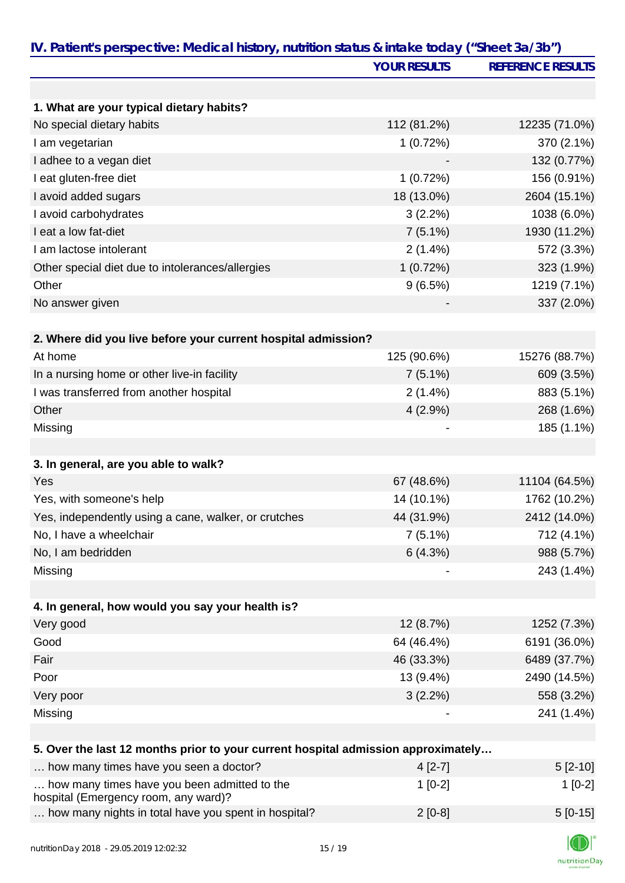|                                                                                      | <b>YOUR RESULTS</b> | <b>REFERENCE RESULTS</b> |
|--------------------------------------------------------------------------------------|---------------------|--------------------------|
|                                                                                      |                     |                          |
| 1. What are your typical dietary habits?                                             |                     |                          |
| No special dietary habits                                                            | 112 (81.2%)         | 12235 (71.0%)            |
| I am vegetarian                                                                      | 1(0.72%)            | 370 (2.1%)               |
| I adhee to a vegan diet                                                              |                     | 132 (0.77%)              |
| I eat gluten-free diet                                                               | 1(0.72%)            | 156 (0.91%)              |
| I avoid added sugars                                                                 | 18 (13.0%)          | 2604 (15.1%)             |
| I avoid carbohydrates                                                                | 3(2.2%)             | 1038 (6.0%)              |
| I eat a low fat-diet                                                                 | $7(5.1\%)$          | 1930 (11.2%)             |
| I am lactose intolerant                                                              | $2(1.4\%)$          | 572 (3.3%)               |
| Other special diet due to intolerances/allergies                                     | 1(0.72%)            | 323 (1.9%)               |
| Other                                                                                | 9(6.5%)             | 1219 (7.1%)              |
| No answer given                                                                      |                     | 337 (2.0%)               |
| 2. Where did you live before your current hospital admission?                        |                     |                          |
| At home                                                                              | 125 (90.6%)         | 15276 (88.7%)            |
| In a nursing home or other live-in facility                                          | $7(5.1\%)$          | 609 (3.5%)               |
| I was transferred from another hospital                                              | $2(1.4\%)$          | 883 (5.1%)               |
| Other                                                                                | $4(2.9\%)$          | 268 (1.6%)               |
| Missing                                                                              |                     | 185 (1.1%)               |
| 3. In general, are you able to walk?                                                 |                     |                          |
| Yes                                                                                  | 67 (48.6%)          | 11104 (64.5%)            |
| Yes, with someone's help                                                             | 14 (10.1%)          | 1762 (10.2%)             |
| Yes, independently using a cane, walker, or crutches                                 | 44 (31.9%)          | 2412 (14.0%)             |
| No, I have a wheelchair                                                              | $7(5.1\%)$          | 712 (4.1%)               |
| No, I am bedridden                                                                   | 6(4.3%)             | 988 (5.7%)               |
| Missing                                                                              |                     | 243 (1.4%)               |
|                                                                                      |                     |                          |
| 4. In general, how would you say your health is?                                     |                     |                          |
| Very good                                                                            | 12 (8.7%)           | 1252 (7.3%)              |
| Good                                                                                 | 64 (46.4%)          | 6191 (36.0%)             |
| Fair                                                                                 | 46 (33.3%)          | 6489 (37.7%)             |
| Poor                                                                                 | 13 (9.4%)           | 2490 (14.5%)             |
| Very poor                                                                            | $3(2.2\%)$          | 558 (3.2%)               |
| Missing                                                                              |                     | 241 (1.4%)               |
| 5. Over the last 12 months prior to your current hospital admission approximately    |                     |                          |
| how many times have you seen a doctor?                                               | $4[2-7]$            | $5[2-10]$                |
| how many times have you been admitted to the<br>hospital (Emergency room, any ward)? | $1[0-2]$            | $1[0-2]$                 |

|  |  | how many nights in total have you spent in hospital? | $2$ [0-8] | $5[0-15]$ |
|--|--|------------------------------------------------------|-----------|-----------|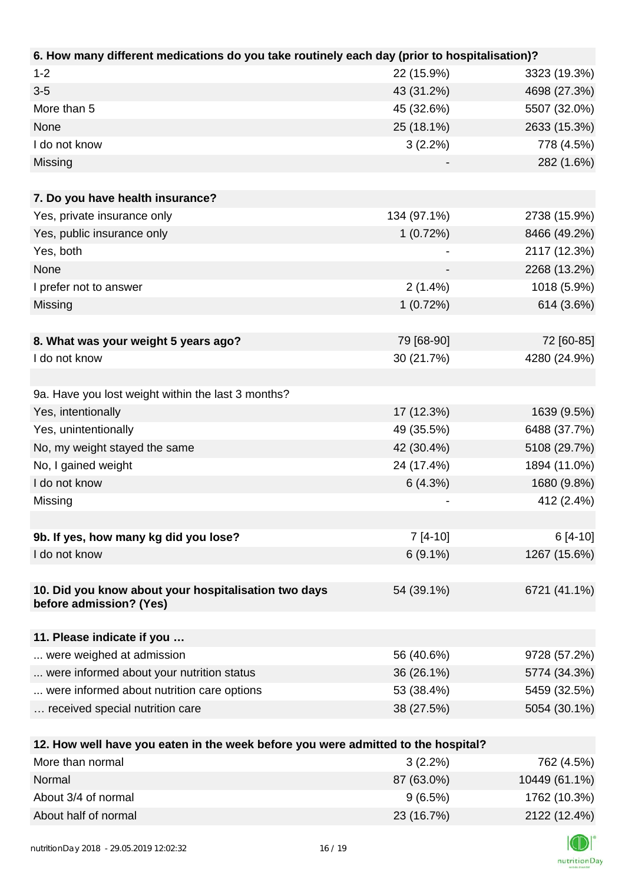| 6. How many different medications do you take routinely each day (prior to hospitalisation)? |             |              |
|----------------------------------------------------------------------------------------------|-------------|--------------|
| $1 - 2$                                                                                      | 22 (15.9%)  | 3323 (19.3%) |
| $3 - 5$                                                                                      | 43 (31.2%)  | 4698 (27.3%) |
| More than 5                                                                                  | 45 (32.6%)  | 5507 (32.0%) |
| None                                                                                         | 25 (18.1%)  | 2633 (15.3%) |
| I do not know                                                                                | $3(2.2\%)$  | 778 (4.5%)   |
| Missing                                                                                      |             | 282 (1.6%)   |
|                                                                                              |             |              |
| 7. Do you have health insurance?                                                             |             |              |
| Yes, private insurance only                                                                  | 134 (97.1%) | 2738 (15.9%) |
| Yes, public insurance only                                                                   | 1(0.72%)    | 8466 (49.2%) |
| Yes, both                                                                                    |             | 2117 (12.3%) |
| None                                                                                         |             | 2268 (13.2%) |
| I prefer not to answer                                                                       | $2(1.4\%)$  | 1018 (5.9%)  |
| Missing                                                                                      | 1(0.72%)    | 614 (3.6%)   |
|                                                                                              |             |              |
| 8. What was your weight 5 years ago?                                                         | 79 [68-90]  | 72 [60-85]   |
| I do not know                                                                                | 30 (21.7%)  | 4280 (24.9%) |
|                                                                                              |             |              |
| 9a. Have you lost weight within the last 3 months?                                           |             |              |
| Yes, intentionally                                                                           | 17 (12.3%)  | 1639 (9.5%)  |
| Yes, unintentionally                                                                         | 49 (35.5%)  | 6488 (37.7%) |
| No, my weight stayed the same                                                                | 42 (30.4%)  | 5108 (29.7%) |
| No, I gained weight                                                                          | 24 (17.4%)  | 1894 (11.0%) |
| I do not know                                                                                | 6(4.3%)     | 1680 (9.8%)  |
| Missing                                                                                      |             | 412 (2.4%)   |
|                                                                                              |             |              |
| 9b. If yes, how many kg did you lose?                                                        | $7[4-10]$   | $6[4-10]$    |
| I do not know                                                                                | $6(9.1\%)$  | 1267 (15.6%) |
|                                                                                              |             |              |
| 10. Did you know about your hospitalisation two days<br>before admission? (Yes)              | 54 (39.1%)  | 6721 (41.1%) |
|                                                                                              |             |              |
| 11. Please indicate if you                                                                   |             |              |
| were weighed at admission                                                                    | 56 (40.6%)  | 9728 (57.2%) |
| were informed about your nutrition status                                                    | 36 (26.1%)  | 5774 (34.3%) |
| were informed about nutrition care options                                                   | 53 (38.4%)  | 5459 (32.5%) |
| received special nutrition care                                                              | 38 (27.5%)  | 5054 (30.1%) |
|                                                                                              |             |              |
| 12. How well have you eaten in the week before you were admitted to the hospital?            |             |              |
| More than normal                                                                             | 3(2.2%)     | 762 (4.5%)   |

| More than normal     | $3(2.2\%)$ | 762 (4.5%)    |
|----------------------|------------|---------------|
| Normal               | 87 (63.0%) | 10449 (61.1%) |
| About 3/4 of normal  | 9(6.5%)    | 1762 (10.3%)  |
| About half of normal | 23 (16.7%) | 2122 (12.4%)  |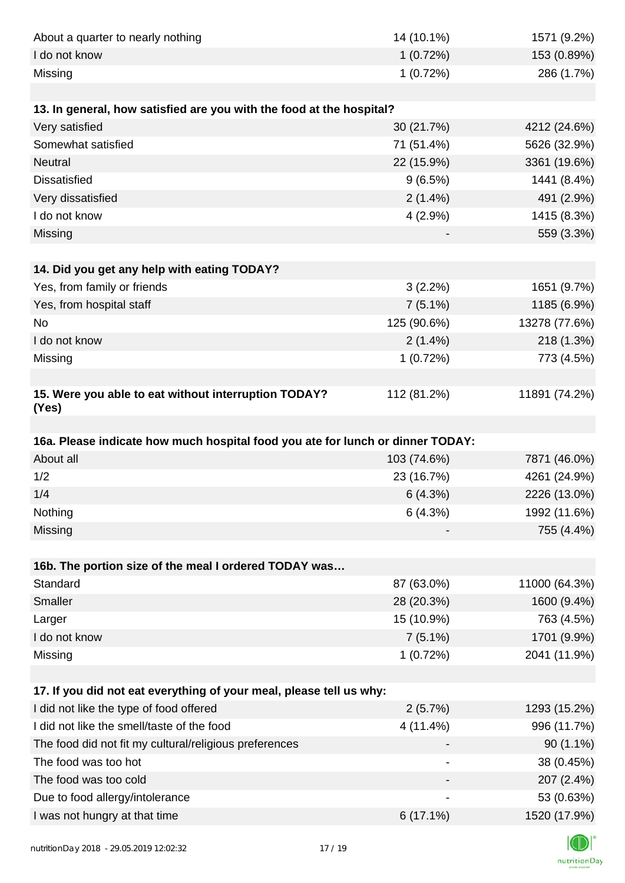| About a quarter to nearly nothing                                              | 14 (10.1%)  | 1571 (9.2%)                |
|--------------------------------------------------------------------------------|-------------|----------------------------|
| I do not know                                                                  | 1(0.72%)    | 153 (0.89%)                |
| Missing                                                                        | 1(0.72%)    | 286 (1.7%)                 |
|                                                                                |             |                            |
| 13. In general, how satisfied are you with the food at the hospital?           |             |                            |
| Very satisfied                                                                 | 30 (21.7%)  | 4212 (24.6%)               |
| Somewhat satisfied                                                             | 71 (51.4%)  | 5626 (32.9%)               |
| <b>Neutral</b>                                                                 | 22 (15.9%)  | 3361 (19.6%)               |
| <b>Dissatisfied</b>                                                            | 9(6.5%)     | 1441 (8.4%)                |
| Very dissatisfied                                                              | $2(1.4\%)$  | 491 (2.9%)                 |
| I do not know                                                                  | $4(2.9\%)$  | 1415 (8.3%)                |
| Missing                                                                        |             | 559 (3.3%)                 |
|                                                                                |             |                            |
| 14. Did you get any help with eating TODAY?                                    |             |                            |
| Yes, from family or friends                                                    | 3(2.2%)     | 1651 (9.7%)                |
| Yes, from hospital staff                                                       | $7(5.1\%)$  | 1185 (6.9%)                |
| <b>No</b>                                                                      | 125 (90.6%) | 13278 (77.6%)              |
| I do not know                                                                  | 2(1.4%)     | 218 (1.3%)                 |
| Missing                                                                        | 1(0.72%)    | 773 (4.5%)                 |
|                                                                                |             |                            |
| 15. Were you able to eat without interruption TODAY?<br>(Yes)                  | 112 (81.2%) | 11891 (74.2%)              |
|                                                                                |             |                            |
|                                                                                |             |                            |
| 16a. Please indicate how much hospital food you ate for lunch or dinner TODAY: |             |                            |
| About all                                                                      | 103 (74.6%) | 7871 (46.0%)               |
| 1/2                                                                            | 23 (16.7%)  | 4261 (24.9%)               |
| 1/4                                                                            | 6(4.3%)     | 2226 (13.0%)               |
| Nothing                                                                        | 6(4.3%)     | 1992 (11.6%)               |
| Missing                                                                        |             | 755 (4.4%)                 |
|                                                                                |             |                            |
| 16b. The portion size of the meal I ordered TODAY was                          |             |                            |
| Standard                                                                       | 87 (63.0%)  | 11000 (64.3%)              |
| Smaller                                                                        | 28 (20.3%)  | 1600 (9.4%)                |
| Larger                                                                         | 15 (10.9%)  | 763 (4.5%)                 |
| I do not know                                                                  | $7(5.1\%)$  | 1701 (9.9%)                |
| Missing                                                                        | 1(0.72%)    | 2041 (11.9%)               |
|                                                                                |             |                            |
| 17. If you did not eat everything of your meal, please tell us why:            |             |                            |
| I did not like the type of food offered                                        | 2(5.7%)     | 1293 (15.2%)               |
| I did not like the smell/taste of the food                                     | 4 (11.4%)   | 996 (11.7%)                |
| The food did not fit my cultural/religious preferences                         |             | $90(1.1\%)$                |
| The food was too hot                                                           |             | 38 (0.45%)                 |
| The food was too cold                                                          |             | 207 (2.4%)                 |
| Due to food allergy/intolerance<br>I was not hungry at that time               | $6(17.1\%)$ | 53 (0.63%)<br>1520 (17.9%) |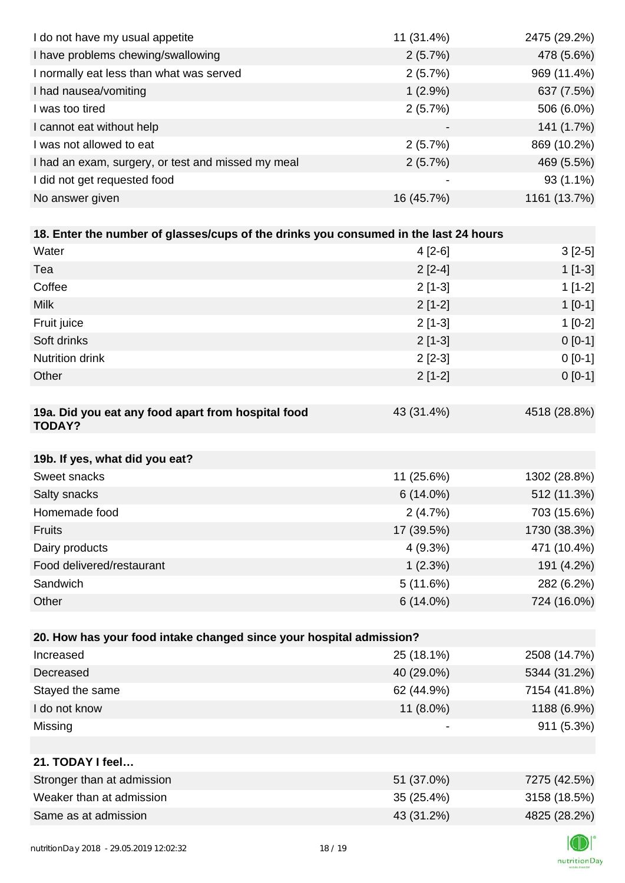| I do not have my usual appetite                                                      | 11 (31.4%)  | 2475 (29.2%) |
|--------------------------------------------------------------------------------------|-------------|--------------|
| I have problems chewing/swallowing                                                   | 2(5.7%)     | 478 (5.6%)   |
| I normally eat less than what was served                                             | 2(5.7%)     | 969 (11.4%)  |
| I had nausea/vomiting                                                                | $1(2.9\%)$  | 637 (7.5%)   |
| I was too tired                                                                      | 2(5.7%)     | 506 (6.0%)   |
| I cannot eat without help                                                            |             | 141 (1.7%)   |
| I was not allowed to eat                                                             | 2(5.7%)     | 869 (10.2%)  |
| I had an exam, surgery, or test and missed my meal                                   | 2(5.7%)     | 469 (5.5%)   |
| I did not get requested food                                                         |             | $93(1.1\%)$  |
| No answer given                                                                      | 16 (45.7%)  | 1161 (13.7%) |
|                                                                                      |             |              |
| 18. Enter the number of glasses/cups of the drinks you consumed in the last 24 hours |             |              |
| Water                                                                                | $4[2-6]$    | $3[2-5]$     |
| Tea                                                                                  | $2[2-4]$    | $1[1-3]$     |
| Coffee                                                                               | $2[1-3]$    | $1[1-2]$     |
| <b>Milk</b>                                                                          | $2[1-2]$    | $1[0-1]$     |
| Fruit juice                                                                          | $2[1-3]$    | $1[0-2]$     |
| Soft drinks                                                                          | $2[1-3]$    | $0 [0-1]$    |
| Nutrition drink                                                                      | $2[2-3]$    | $0 [0-1]$    |
| Other                                                                                | $2[1-2]$    | $0 [0-1]$    |
|                                                                                      |             |              |
| 19a. Did you eat any food apart from hospital food<br><b>TODAY?</b>                  | 43 (31.4%)  | 4518 (28.8%) |
| 19b. If yes, what did you eat?                                                       |             |              |
| Sweet snacks                                                                         | 11 (25.6%)  | 1302 (28.8%) |
| Salty snacks                                                                         | $6(14.0\%)$ | 512 (11.3%)  |
| Homemade food                                                                        | 2(4.7%)     | 703 (15.6%)  |
| Fruits                                                                               | 17 (39.5%)  | 1730 (38.3%) |
| Dairy products                                                                       | 4(9.3%)     | 471 (10.4%)  |
| Food delivered/restaurant                                                            | 1(2.3%)     | 191 (4.2%)   |
| Sandwich                                                                             | 5(11.6%)    | 282 (6.2%)   |
| Other                                                                                | $6(14.0\%)$ | 724 (16.0%)  |
|                                                                                      |             |              |
| 20. How has your food intake changed since your hospital admission?                  |             |              |
| Increased                                                                            | 25 (18.1%)  | 2508 (14.7%) |
| Decreased                                                                            | 40 (29.0%)  | 5344 (31.2%) |
| Stayed the same                                                                      | 62 (44.9%)  | 7154 (41.8%) |
| I do not know                                                                        | 11 (8.0%)   | 1188 (6.9%)  |
| Missing                                                                              |             | 911 (5.3%)   |
|                                                                                      |             |              |
| 21. TODAY I feel                                                                     |             |              |
| Stronger than at admission                                                           | 51 (37.0%)  | 7275 (42.5%) |
| Weaker than at admission                                                             | 35 (25.4%)  | 3158 (18.5%) |
| Same as at admission                                                                 | 43 (31.2%)  | 4825 (28.2%) |
|                                                                                      |             | $\sqrt{2}$   |